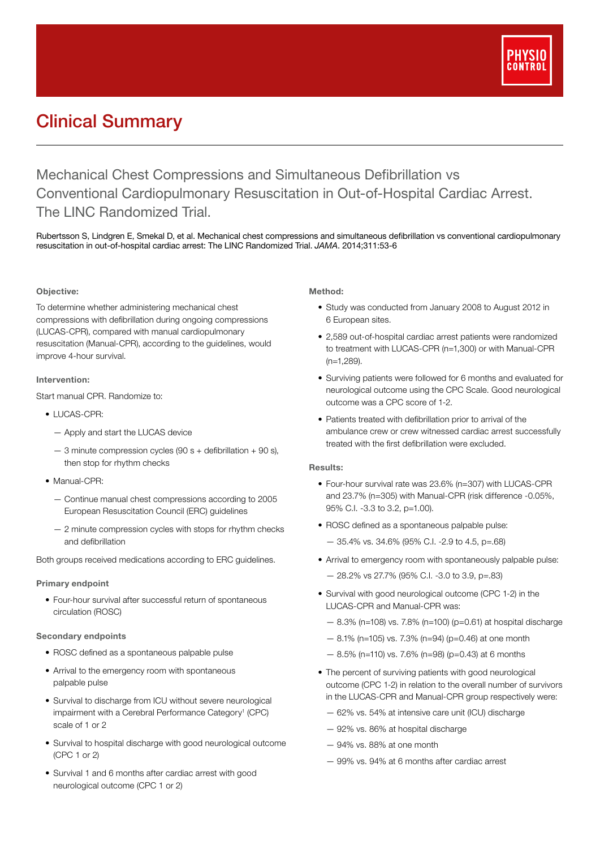

# Clinical Summary

Mechanical Chest Compressions and Simultaneous Defibrillation vs Conventional Cardiopulmonary Resuscitation in Out-of-Hospital Cardiac Arrest. The LINC Randomized Trial.

Rubertsson S, Lindgren E, Smekal D, et al. Mechanical chest compressions and simultaneous defibrillation vs conventional cardiopulmonary resuscitation in out-of-hospital cardiac arrest: The LINC Randomized Trial. *JAMA*. 2014;311:53-6

# Objective:

To determine whether administering mechanical chest compressions with defibrillation during ongoing compressions (LUCAS-CPR), compared with manual cardiopulmonary resuscitation (Manual-CPR), according to the guidelines, would improve 4-hour survival.

# Intervention:

Start manual CPR. Randomize to:

- LUCAS-CPR:
	- Apply and start the LUCAS device
	- $-$  3 minute compression cycles (90 s + defibrillation + 90 s), then stop for rhythm checks
- Manual-CPR:
	- Continue manual chest compressions according to 2005 European Resuscitation Council (ERC) guidelines
	- 2 minute compression cycles with stops for rhythm checks and defibrillation

Both groups received medications according to ERC guidelines.

#### Primary endpoint

• Four-hour survival after successful return of spontaneous circulation (ROSC)

# Secondary endpoints

- ROSC defined as a spontaneous palpable pulse
- Arrival to the emergency room with spontaneous palpable pulse
- Survival to discharge from ICU without severe neurological impairment with a Cerebral Performance Category<sup>1</sup> (CPC) scale of 1 or 2
- Survival to hospital discharge with good neurological outcome (CPC 1 or 2)
- Survival 1 and 6 months after cardiac arrest with good neurological outcome (CPC 1 or 2)

#### Method:

- Study was conducted from January 2008 to August 2012 in 6 European sites.
- 2,589 out-of-hospital cardiac arrest patients were randomized to treatment with LUCAS-CPR (n=1,300) or with Manual-CPR (n=1,289).
- Surviving patients were followed for 6 months and evaluated for neurological outcome using the CPC Scale. Good neurological outcome was a CPC score of 1-2.
- Patients treated with defibrillation prior to arrival of the ambulance crew or crew witnessed cardiac arrest successfully treated with the first defibrillation were excluded.

# Results:

- Four-hour survival rate was 23.6% (n=307) with LUCAS-CPR and 23.7% (n=305) with Manual-CPR (risk difference -0.05%, 95% C.I. -3.3 to 3.2, p=1.00).
- ROSC defined as a spontaneous palpable pulse:
	- 35.4% vs. 34.6% (95% C.I. -2.9 to 4.5, p=.68)
- Arrival to emergency room with spontaneously palpable pulse:
	- 28.2% vs 27.7% (95% C.I. -3.0 to 3.9, p=.83)
- Survival with good neurological outcome (CPC 1-2) in the LUCAS-CPR and Manual-CPR was:
	- 8.3% (n=108) vs. 7.8% (n=100) (p=0.61) at hospital discharge
	- $-8.1\%$  (n=105) vs. 7.3% (n=94) (p=0.46) at one month
	- 8.5% (n=110) vs. 7.6% (n=98) (p=0.43) at 6 months
- The percent of surviving patients with good neurological outcome (CPC 1-2) in relation to the overall number of survivors in the LUCAS-CPR and Manual-CPR group respectively were:
	- 62% vs. 54% at intensive care unit (ICU) discharge
	- 92% vs. 86% at hospital discharge
	- 94% vs. 88% at one month
	- 99% vs. 94% at 6 months after cardiac arrest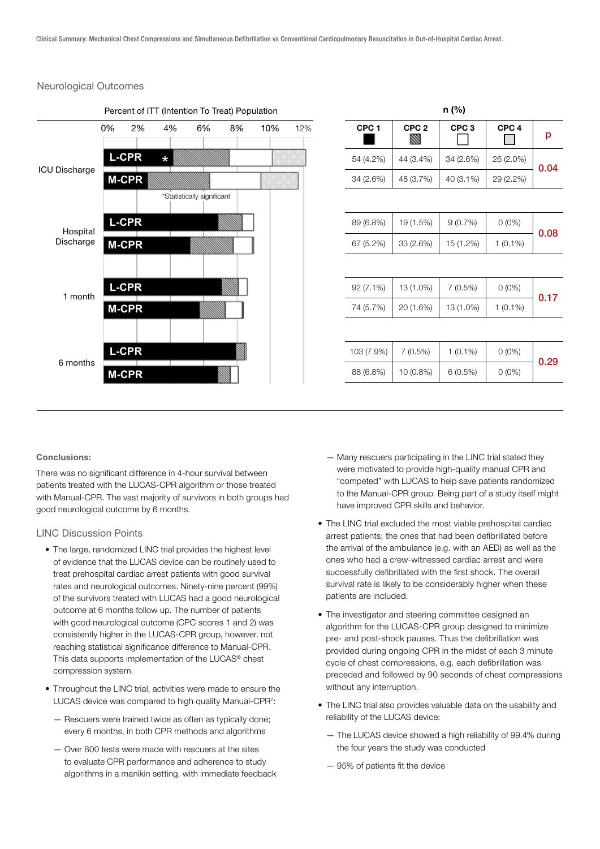# Neurological Outcomes



| n (%) |                  |                  |                       |                  |
|-------|------------------|------------------|-----------------------|------------------|
| p     | CPC <sub>4</sub> | CPC <sub>3</sub> | CPC <sub>2</sub><br>W | CPC <sub>1</sub> |
| 0.04  | 26 (2.0%)        | 34 (2.6%)        | 44 (3.4%)             | 54 (4.2%)        |
|       | 29 (2.2%)        | 40 (3.1%)        | 48 (3.7%)             | 34 (2.6%)        |
|       |                  |                  |                       |                  |
| 0.08  | $0(0\%)$         | 9(0.7%)          | 19 (1.5%)             | 89 (6.8%)        |
|       | $1(0.1\%)$       | 15 (1.2%)        | 33 (2.6%)             | 67 (5.2%)        |
|       |                  |                  |                       |                  |
|       | $0(0\%)$         | 7(0.5%)          | 13 (1.0%)             | $92(7.1\%)$      |
| 0.17  | $1(0.1\%)$       | 13 (1.0%)        | 20 (1.6%)             | 74 (5.7%)        |
|       |                  |                  |                       |                  |
| 0.29  | $0(0\%)$         | $1(0.1\%)$       | 7(0.5%)               | 103 (7.9%)       |
|       | $0(0\%)$         | 6(0.5%)          | 10 (0.8%)             | 88 (6.8%)        |

#### Conclusions:

There was no significant difference in 4-hour survival between patients treated with the LUCAS-CPR algorithm or those treated with Manual-CPR. The vast majority of survivors in both groups had good neurological outcome by 6 months.

#### LINC Discussion Points

- The large, randomized LINC trial provides the highest level of evidence that the LUCAS device can be routinely used to treat prehospital cardiac arrest patients with good survival rates and neurological outcomes. Ninety-nine percent (99%) of the survivors treated with LUCAS had a good neurological outcome at 6 months follow up. The number of patients with good neurological outcome (CPC scores 1 and 2) was consistently higher in the LUCAS-CPR group, however, not reaching statistical significance difference to Manual-CPR. This data supports implementation of the LUCAS® chest compression system.
- Throughout the LINC trial, activities were made to ensure the LUCAS device was compared to high quality Manual-CPR<sup>2</sup>:
	- Rescuers were trained twice as often as typically done; every 6 months, in both CPR methods and algorithms
	- Over 800 tests were made with rescuers at the sites to evaluate CPR performance and adherence to study algorithms in a manikin setting, with immediate feedback
- Many rescuers participating in the LINC trial stated they were motivated to provide high-quality manual CPR and "competed" with LUCAS to help save patients randomized to the Manual-CPR group. Being part of a study itself might have improved CPR skills and behavior.
- The LINC trial excluded the most viable prehospital cardiac arrest patients; the ones that had been defibrillated before the arrival of the ambulance (e.g. with an AED) as well as the ones who had a crew-witnessed cardiac arrest and were successfully defibrillated with the first shock. The overall survival rate is likely to be considerably higher when these patients are included.
- The investigator and steering committee designed an algorithm for the LUCAS-CPR group designed to minimize pre- and post-shock pauses. Thus the defibrillation was provided during ongoing CPR in the midst of each 3 minute cycle of chest compressions, e.g. each defibrillation was preceded and followed by 90 seconds of chest compressions without any interruption.
- The LINC trial also provides valuable data on the usability and reliability of the LUCAS device:
	- The LUCAS device showed a high reliability of 99.4% during the four years the study was conducted
	- 95% of patients fit the device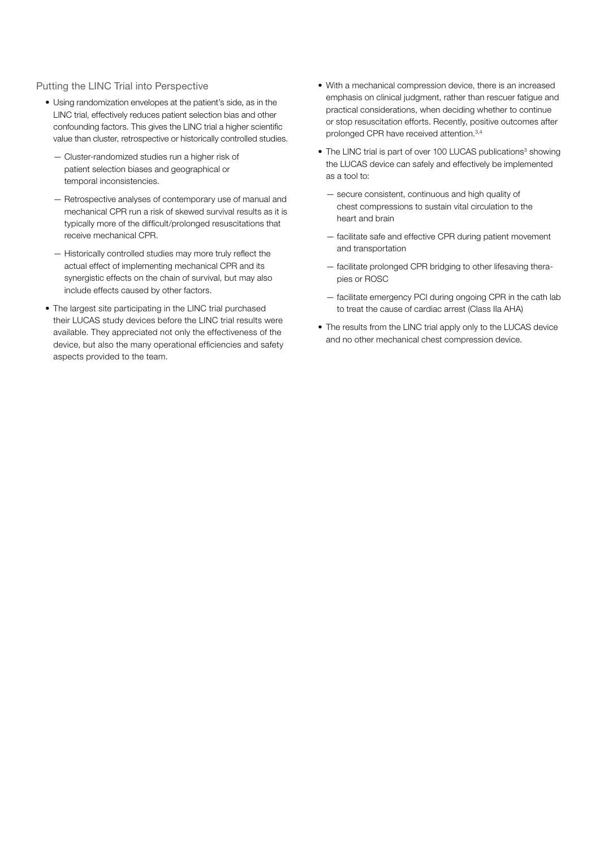# Putting the LINC Trial into Perspective

- Using randomization envelopes at the patient's side, as in the LINC trial, effectively reduces patient selection bias and other confounding factors. This gives the LINC trial a higher scientific value than cluster, retrospective or historically controlled studies.
	- Cluster-randomized studies run a higher risk of patient selection biases and geographical or temporal inconsistencies.
	- Retrospective analyses of contemporary use of manual and mechanical CPR run a risk of skewed survival results as it is typically more of the difficult/prolonged resuscitations that receive mechanical CPR.
	- Historically controlled studies may more truly reflect the actual effect of implementing mechanical CPR and its synergistic effects on the chain of survival, but may also include effects caused by other factors.
- The largest site participating in the LINC trial purchased their LUCAS study devices before the LINC trial results were available. They appreciated not only the effectiveness of the device, but also the many operational efficiencies and safety aspects provided to the team.
- With a mechanical compression device, there is an increased emphasis on clinical judgment, rather than rescuer fatigue and practical considerations, when deciding whether to continue or stop resuscitation efforts. Recently, positive outcomes after prolonged CPR have received attention.3,4
- The LINC trial is part of over 100 LUCAS publications<sup>3</sup> showing the LUCAS device can safely and effectively be implemented as a tool to:
	- secure consistent, continuous and high quality of chest compressions to sustain vital circulation to the heart and brain
	- facilitate safe and effective CPR during patient movement and transportation
	- facilitate prolonged CPR bridging to other lifesaving therapies or ROSC
	- facilitate emergency PCI during ongoing CPR in the cath lab to treat the cause of cardiac arrest (Class IIa AHA)
- The results from the LINC trial apply only to the LUCAS device and no other mechanical chest compression device.